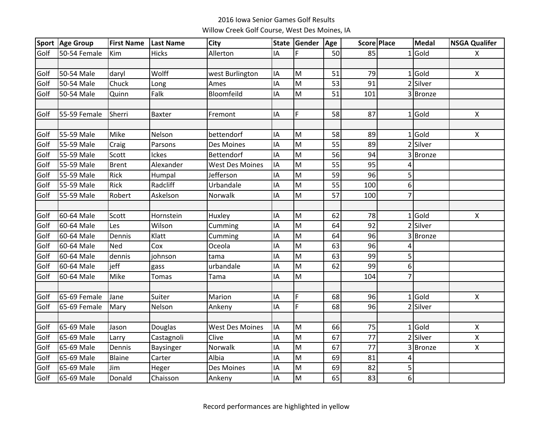## 2016 Iowa Senior Games Golf ResultsWillow Creek Golf Course, West Des Moines, IA

|      | Sport Age Group | <b>First Name</b> | <b>Last Name</b> | <b>City</b>            | <b>State</b> | Gender | Age |                 | Score Place    | <b>Medal</b> | <b>NSGA Qualifer</b> |
|------|-----------------|-------------------|------------------|------------------------|--------------|--------|-----|-----------------|----------------|--------------|----------------------|
| Golf | 50-54 Female    | Kim               | <b>Hicks</b>     | Allerton               | IA           | F      | 50  | 85              |                | $1$ Gold     | X                    |
|      |                 |                   |                  |                        |              |        |     |                 |                |              |                      |
| Golf | 50-54 Male      | daryl             | Wolff            | west Burlington        | IA           | M      | 51  | 79              |                | $1$ Gold     | $\pmb{\times}$       |
| Golf | 50-54 Male      | Chuck             | Long             | Ames                   | IA           | M      | 53  | 91              |                | 2 Silver     |                      |
| Golf | 50-54 Male      | Quinn             | Falk             | Bloomfeild             | IA           | M      | 51  | 101             |                | 3 Bronze     |                      |
|      |                 |                   |                  |                        |              |        |     |                 |                |              |                      |
| Golf | 55-59 Female    | Sherri            | <b>Baxter</b>    | Fremont                | IA           | F      | 58  | 87              |                | $1$ Gold     | X                    |
|      |                 |                   |                  |                        |              |        |     |                 |                |              |                      |
| Golf | 55-59 Male      | Mike              | Nelson           | bettendorf             | IA           | M      | 58  | 89              |                | $1$ Gold     | $\pmb{\times}$       |
| Golf | 55-59 Male      | Craig             | Parsons          | Des Moines             | IA           | M      | 55  | 89              |                | 2 Silver     |                      |
| Golf | 55-59 Male      | Scott             | Ickes            | Bettendorf             | IA           | M      | 56  | 94              |                | 3 Bronze     |                      |
| Golf | 55-59 Male      | <b>Brent</b>      | Alexander        | <b>West Des Moines</b> | IA           | M      | 55  | 95              | 4              |              |                      |
| Golf | 55-59 Male      | Rick              | Humpal           | Jefferson              | IA           | M      | 59  | 96              | 5              |              |                      |
| Golf | 55-59 Male      | Rick              | Radcliff         | Urbandale              | IA           | M      | 55  | 100             | 6 <sup>1</sup> |              |                      |
| Golf | 55-59 Male      | Robert            | Askelson         | Norwalk                | IA           | M      | 57  | 100             | $\overline{7}$ |              |                      |
|      |                 |                   |                  |                        |              |        |     |                 |                |              |                      |
| Golf | 60-64 Male      | Scott             | Hornstein        | Huxley                 | IA           | M      | 62  | 78              |                | $1$ Gold     | $\pmb{\times}$       |
| Golf | 60-64 Male      | Les               | Wilson           | Cumming                | IA           | M      | 64  | 92              |                | 2 Silver     |                      |
| Golf | 60-64 Male      | Dennis            | Klatt            | Cumming                | IA           | M      | 64  | 96              |                | 3 Bronze     |                      |
| Golf | 60-64 Male      | Ned               | Cox              | Oceola                 | IA           | M      | 63  | 96              |                |              |                      |
| Golf | 60-64 Male      | dennis            | johnson          | tama                   | IA           | M      | 63  | 99              | 5              |              |                      |
| Golf | 60-64 Male      | jeff              | gass             | urbandale              | IA           | M      | 62  | 99              | 6              |              |                      |
| Golf | 60-64 Male      | Mike              | Tomas            | Tama                   | IA           | M      |     | 104             | $\overline{7}$ |              |                      |
|      |                 |                   |                  |                        |              |        |     |                 |                |              |                      |
| Golf | 65-69 Female    | Jane              | Suiter           | Marion                 | IA           | F      | 68  | 96              |                | $1$ Gold     | $\pmb{\times}$       |
| Golf | 65-69 Female    | Mary              | Nelson           | Ankeny                 | IA           | F      | 68  | 96              |                | 2 Silver     |                      |
|      |                 |                   |                  |                        |              |        |     |                 |                |              |                      |
| Golf | 65-69 Male      | Jason             | Douglas          | <b>West Des Moines</b> | IA           | M      | 66  | 75              |                | $1$ Gold     | $\pmb{\times}$       |
| Golf | 65-69 Male      | Larry             | Castagnoli       | Clive                  | IA           | M      | 67  | $\overline{77}$ |                | 2 Silver     | $\pmb{\mathsf{X}}$   |
| Golf | 65-69 Male      | Dennis            | Baysinger        | Norwalk                | IA           | M      | 67  | 77              |                | 3 Bronze     | X                    |
| Golf | 65-69 Male      | Blaine            | Carter           | Albia                  | IA           | M      | 69  | 81              | 4              |              |                      |
| Golf | 65-69 Male      | Jim               | Heger            | Des Moines             | IA           | M      | 69  | 82              | 5              |              |                      |
| Golf | 65-69 Male      | Donald            | Chaisson         | Ankeny                 | IA           | M      | 65  | 83              | 6 <sup>1</sup> |              |                      |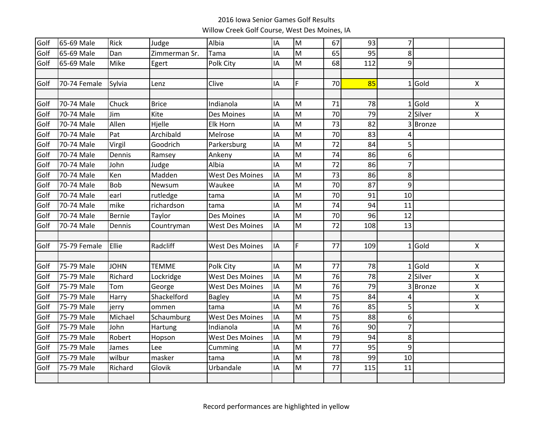## 2016 Iowa Senior Games Golf ResultsWillow Creek Golf Course, West Des Moines, IA

| Golf | 65-69 Male   | Rick          | Judge         | Albia                  | IA | M | 67 | 93  | $\overline{7}$ |          |                           |
|------|--------------|---------------|---------------|------------------------|----|---|----|-----|----------------|----------|---------------------------|
| Golf | 65-69 Male   | Dan           | Zimmerman Sr. | Tama                   | IA | M | 65 | 95  | 8              |          |                           |
| Golf | 65-69 Male   | Mike          | Egert         | Polk City              | IA | M | 68 | 112 | 9              |          |                           |
|      |              |               |               |                        |    |   |    |     |                |          |                           |
| Golf | 70-74 Female | Sylvia        | Lenz          | Clive                  | IA | F | 70 | 85  |                | $1$ Gold | X                         |
|      |              |               |               |                        |    |   |    |     |                |          |                           |
| Golf | 70-74 Male   | Chuck         | <b>Brice</b>  | Indianola              | IA | M | 71 | 78  |                | $1$ Gold | Χ                         |
| Golf | 70-74 Male   | Jim           | Kite          | Des Moines             | IA | M | 70 | 79  |                | 2 Silver | X                         |
| Golf | 70-74 Male   | Allen         | Hjelle        | Elk Horn               | IA | M | 73 | 82  |                | 3 Bronze |                           |
| Golf | 70-74 Male   | Pat           | Archibald     | Melrose                | IA | M | 70 | 83  | 4              |          |                           |
| Golf | 70-74 Male   | Virgil        | Goodrich      | Parkersburg            | IA | M | 72 | 84  | 5              |          |                           |
| Golf | 70-74 Male   | Dennis        | Ramsey        | Ankeny                 | IA | M | 74 | 86  | 6              |          |                           |
| Golf | 70-74 Male   | John          | Judge         | Albia                  | IA | M | 72 | 86  | $\overline{7}$ |          |                           |
| Golf | 70-74 Male   | Ken           | Madden        | <b>West Des Moines</b> | IA | M | 73 | 86  | 8              |          |                           |
| Golf | 70-74 Male   | <b>Bob</b>    | Newsum        | Waukee                 | IA | M | 70 | 87  | 9              |          |                           |
| Golf | 70-74 Male   | earl          | rutledge      | tama                   | IA | M | 70 | 91  | 10             |          |                           |
| Golf | 70-74 Male   | mike          | richardson    | tama                   | IA | M | 74 | 94  | 11             |          |                           |
| Golf | 70-74 Male   | <b>Bernie</b> | Taylor        | Des Moines             | IA | M | 70 | 96  | 12             |          |                           |
| Golf | 70-74 Male   | Dennis        | Countryman    | <b>West Des Moines</b> | IA | M | 72 | 108 | 13             |          |                           |
|      |              |               |               |                        |    |   |    |     |                |          |                           |
| Golf | 75-79 Female | Ellie         | Radcliff      | <b>West Des Moines</b> | IA | F | 77 | 109 |                | $1$ Gold | $\boldsymbol{\mathsf{X}}$ |
|      |              |               |               |                        |    |   |    |     |                |          |                           |
| Golf | 75-79 Male   | <b>JOHN</b>   | <b>TEMME</b>  | Polk City              | IA | M | 77 | 78  |                | $1$ Gold | X                         |
| Golf | 75-79 Male   | Richard       | Lockridge     | <b>West Des Moines</b> | IA | M | 76 | 78  |                | 2 Silver | $\pmb{\mathsf{X}}$        |
| Golf | 75-79 Male   | Tom           | George        | <b>West Des Moines</b> | IA | M | 76 | 79  |                | 3 Bronze | $\pmb{\mathsf{X}}$        |
| Golf | 75-79 Male   | Harry         | Shackelford   | <b>Bagley</b>          | IA | M | 75 | 84  | 4              |          | $\pmb{\mathsf{X}}$        |
| Golf | 75-79 Male   | jerry         | ommen         | tama                   | IA | M | 76 | 85  | 5              |          | Χ                         |
| Golf | 75-79 Male   | Michael       | Schaumburg    | <b>West Des Moines</b> | IA | M | 75 | 88  | 6              |          |                           |
| Golf | 75-79 Male   | John          | Hartung       | Indianola              | IA | M | 76 | 90  | $\overline{7}$ |          |                           |
| Golf | 75-79 Male   | Robert        | Hopson        | <b>West Des Moines</b> | IA | M | 79 | 94  | 8              |          |                           |
| Golf | 75-79 Male   | James         | Lee           | Cumming                | IA | M | 77 | 95  | 9              |          |                           |
| Golf | 75-79 Male   | wilbur        | masker        | tama                   | IA | M | 78 | 99  | 10             |          |                           |
| Golf | 75-79 Male   | Richard       | Glovik        | Urbandale              | IA | M | 77 | 115 | 11             |          |                           |
|      |              |               |               |                        |    |   |    |     |                |          |                           |